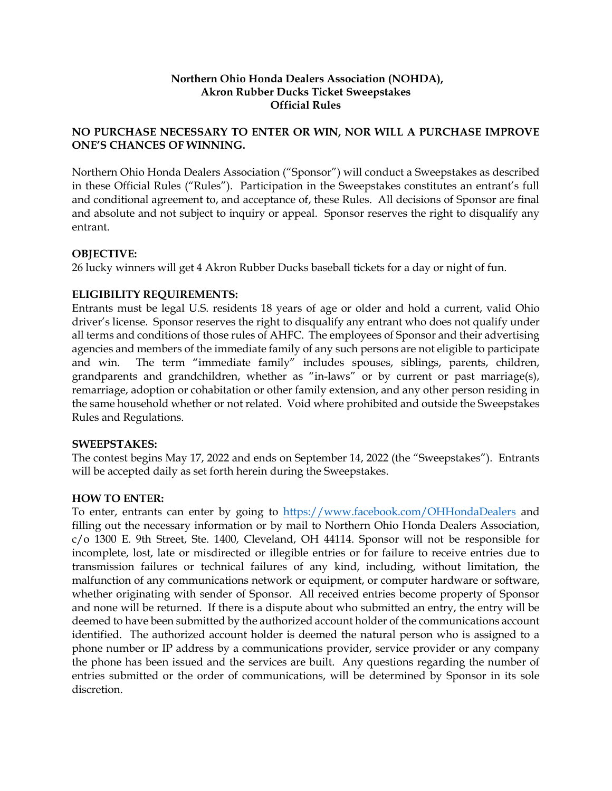## **Northern Ohio Honda Dealers Association (NOHDA), Akron Rubber Ducks Ticket Sweepstakes Official Rules**

# **NO PURCHASE NECESSARY TO ENTER OR WIN, NOR WILL A PURCHASE IMPROVE ONE'S CHANCES OF WINNING.**

Northern Ohio Honda Dealers Association ("Sponsor") will conduct a Sweepstakes as described in these Official Rules ("Rules"). Participation in the Sweepstakes constitutes an entrant's full and conditional agreement to, and acceptance of, these Rules. All decisions of Sponsor are final and absolute and not subject to inquiry or appeal. Sponsor reserves the right to disqualify any entrant.

# **OBJECTIVE:**

26 lucky winners will get 4 Akron Rubber Ducks baseball tickets for a day or night of fun.

# **ELIGIBILITY REQUIREMENTS:**

Entrants must be legal U.S. residents 18 years of age or older and hold a current, valid Ohio driver's license. Sponsor reserves the right to disqualify any entrant who does not qualify under all terms and conditions of those rules of AHFC. The employees of Sponsor and their advertising agencies and members of the immediate family of any such persons are not eligible to participate and win. The term "immediate family" includes spouses, siblings, parents, children, grandparents and grandchildren, whether as "in-laws" or by current or past marriage(s), remarriage, adoption or cohabitation or other family extension, and any other person residing in the same household whether or not related. Void where prohibited and outside the Sweepstakes Rules and Regulations.

#### **SWEEPSTAKES:**

The contest begins May 17, 2022 and ends on September 14, 2022 (the "Sweepstakes"). Entrants will be accepted daily as set forth herein during the Sweepstakes.

#### **HOW TO ENTER:**

To enter, entrants can enter by going to https://www.facebook.com/OHHondaDealers and filling out the necessary information or by mail to Northern Ohio Honda Dealers Association, c/o 1300 E. 9th Street, Ste. 1400, Cleveland, OH 44114. Sponsor will not be responsible for incomplete, lost, late or misdirected or illegible entries or for failure to receive entries due to transmission failures or technical failures of any kind, including, without limitation, the malfunction of any communications network or equipment, or computer hardware or software, whether originating with sender of Sponsor. All received entries become property of Sponsor and none will be returned. If there is a dispute about who submitted an entry, the entry will be deemed to have been submitted by the authorized account holder of the communications account identified. The authorized account holder is deemed the natural person who is assigned to a phone number or IP address by a communications provider, service provider or any company the phone has been issued and the services are built. Any questions regarding the number of entries submitted or the order of communications, will be determined by Sponsor in its sole discretion.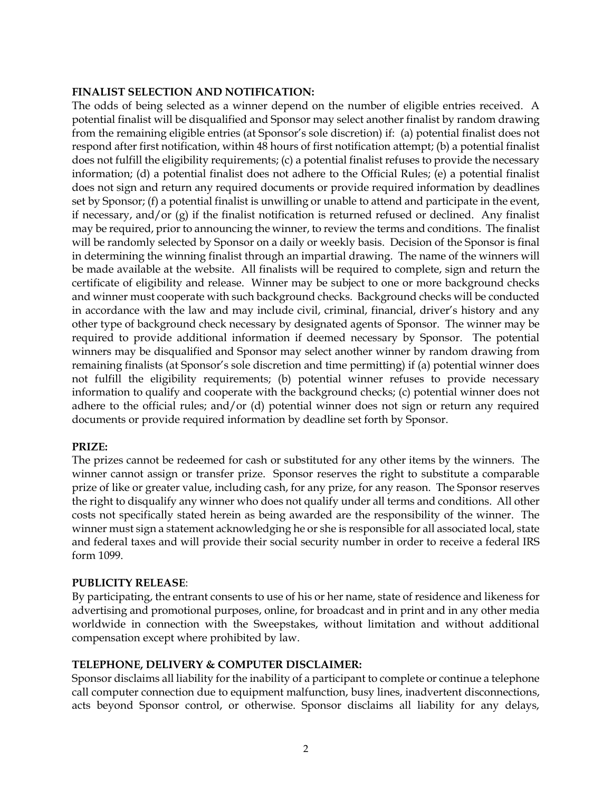## **FINALIST SELECTION AND NOTIFICATION:**

The odds of being selected as a winner depend on the number of eligible entries received. A potential finalist will be disqualified and Sponsor may select another finalist by random drawing from the remaining eligible entries (at Sponsor's sole discretion) if: (a) potential finalist does not respond after first notification, within 48 hours of first notification attempt; (b) a potential finalist does not fulfill the eligibility requirements; (c) a potential finalist refuses to provide the necessary information; (d) a potential finalist does not adhere to the Official Rules; (e) a potential finalist does not sign and return any required documents or provide required information by deadlines set by Sponsor; (f) a potential finalist is unwilling or unable to attend and participate in the event, if necessary, and/or  $(g)$  if the finalist notification is returned refused or declined. Any finalist may be required, prior to announcing the winner, to review the terms and conditions. The finalist will be randomly selected by Sponsor on a daily or weekly basis. Decision of the Sponsor is final in determining the winning finalist through an impartial drawing. The name of the winners will be made available at the website. All finalists will be required to complete, sign and return the certificate of eligibility and release. Winner may be subject to one or more background checks and winner must cooperate with such background checks. Background checks will be conducted in accordance with the law and may include civil, criminal, financial, driver's history and any other type of background check necessary by designated agents of Sponsor. The winner may be required to provide additional information if deemed necessary by Sponsor. The potential winners may be disqualified and Sponsor may select another winner by random drawing from remaining finalists (at Sponsor's sole discretion and time permitting) if (a) potential winner does not fulfill the eligibility requirements; (b) potential winner refuses to provide necessary information to qualify and cooperate with the background checks; (c) potential winner does not adhere to the official rules; and/or (d) potential winner does not sign or return any required documents or provide required information by deadline set forth by Sponsor.

# **PRIZE:**

The prizes cannot be redeemed for cash or substituted for any other items by the winners. The winner cannot assign or transfer prize. Sponsor reserves the right to substitute a comparable prize of like or greater value, including cash, for any prize, for any reason. The Sponsor reserves the right to disqualify any winner who does not qualify under all terms and conditions. All other costs not specifically stated herein as being awarded are the responsibility of the winner. The winner must sign a statement acknowledging he or she is responsible for all associated local, state and federal taxes and will provide their social security number in order to receive a federal IRS form 1099.

# **PUBLICITY RELEASE**:

By participating, the entrant consents to use of his or her name, state of residence and likeness for advertising and promotional purposes, online, for broadcast and in print and in any other media worldwide in connection with the Sweepstakes, without limitation and without additional compensation except where prohibited by law.

# **TELEPHONE, DELIVERY & COMPUTER DISCLAIMER:**

Sponsor disclaims all liability for the inability of a participant to complete or continue a telephone call computer connection due to equipment malfunction, busy lines, inadvertent disconnections, acts beyond Sponsor control, or otherwise. Sponsor disclaims all liability for any delays,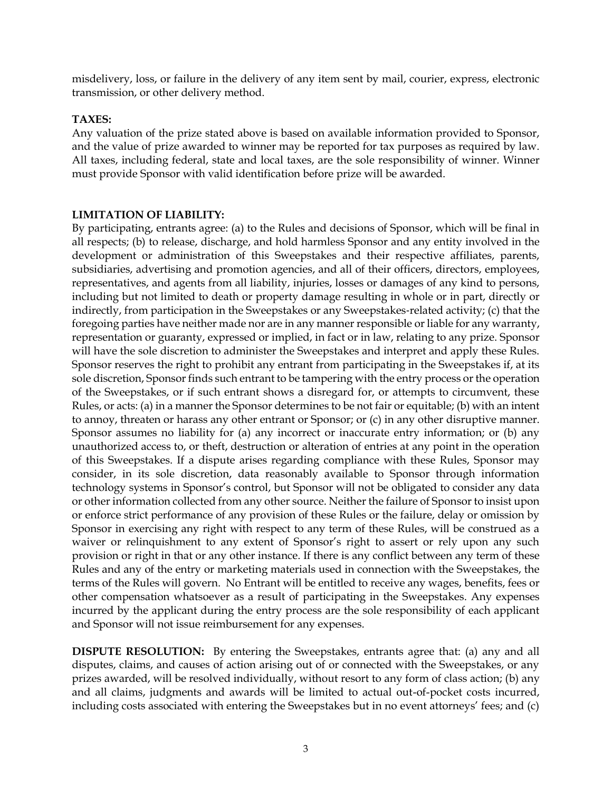misdelivery, loss, or failure in the delivery of any item sent by mail, courier, express, electronic transmission, or other delivery method.

# **TAXES:**

Any valuation of the prize stated above is based on available information provided to Sponsor, and the value of prize awarded to winner may be reported for tax purposes as required by law. All taxes, including federal, state and local taxes, are the sole responsibility of winner. Winner must provide Sponsor with valid identification before prize will be awarded.

## **LIMITATION OF LIABILITY:**

By participating, entrants agree: (a) to the Rules and decisions of Sponsor, which will be final in all respects; (b) to release, discharge, and hold harmless Sponsor and any entity involved in the development or administration of this Sweepstakes and their respective affiliates, parents, subsidiaries, advertising and promotion agencies, and all of their officers, directors, employees, representatives, and agents from all liability, injuries, losses or damages of any kind to persons, including but not limited to death or property damage resulting in whole or in part, directly or indirectly, from participation in the Sweepstakes or any Sweepstakes‐related activity; (c) that the foregoing parties have neither made nor are in any manner responsible or liable for any warranty, representation or guaranty, expressed or implied, in fact or in law, relating to any prize. Sponsor will have the sole discretion to administer the Sweepstakes and interpret and apply these Rules. Sponsor reserves the right to prohibit any entrant from participating in the Sweepstakes if, at its sole discretion, Sponsor finds such entrant to be tampering with the entry process or the operation of the Sweepstakes, or if such entrant shows a disregard for, or attempts to circumvent, these Rules, or acts: (a) in a manner the Sponsor determines to be not fair or equitable; (b) with an intent to annoy, threaten or harass any other entrant or Sponsor; or (c) in any other disruptive manner. Sponsor assumes no liability for (a) any incorrect or inaccurate entry information; or (b) any unauthorized access to, or theft, destruction or alteration of entries at any point in the operation of this Sweepstakes. If a dispute arises regarding compliance with these Rules, Sponsor may consider, in its sole discretion, data reasonably available to Sponsor through information technology systems in Sponsor's control, but Sponsor will not be obligated to consider any data or other information collected from any other source. Neither the failure of Sponsor to insist upon or enforce strict performance of any provision of these Rules or the failure, delay or omission by Sponsor in exercising any right with respect to any term of these Rules, will be construed as a waiver or relinquishment to any extent of Sponsor's right to assert or rely upon any such provision or right in that or any other instance. If there is any conflict between any term of these Rules and any of the entry or marketing materials used in connection with the Sweepstakes, the terms of the Rules will govern. No Entrant will be entitled to receive any wages, benefits, fees or other compensation whatsoever as a result of participating in the Sweepstakes. Any expenses incurred by the applicant during the entry process are the sole responsibility of each applicant and Sponsor will not issue reimbursement for any expenses.

**DISPUTE RESOLUTION:** By entering the Sweepstakes, entrants agree that: (a) any and all disputes, claims, and causes of action arising out of or connected with the Sweepstakes, or any prizes awarded, will be resolved individually, without resort to any form of class action; (b) any and all claims, judgments and awards will be limited to actual out-of-pocket costs incurred, including costs associated with entering the Sweepstakes but in no event attorneys' fees; and (c)